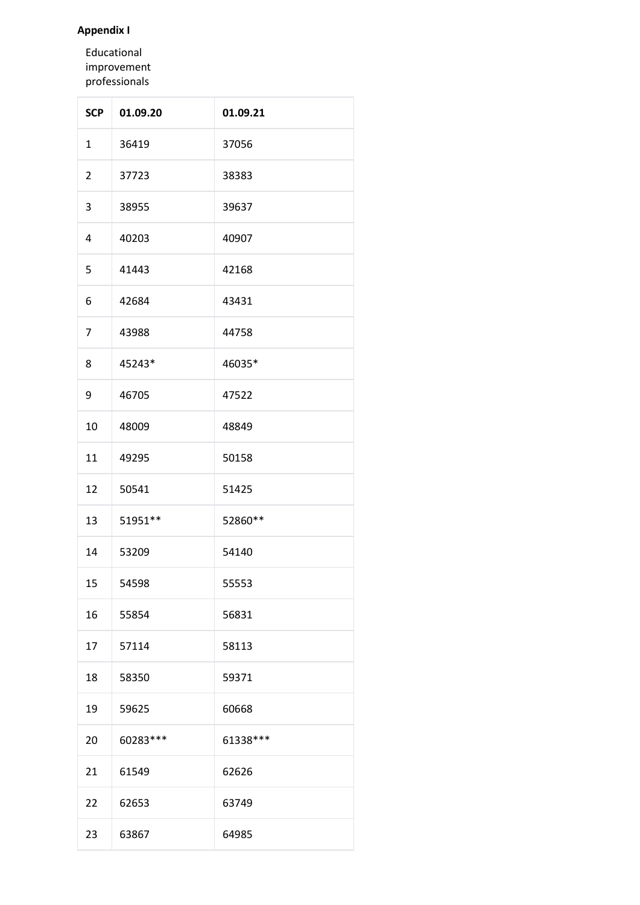# **Appendix I**

Educational improvement professionals

| <b>SCP</b>     | 01.09.20  | 01.09.21  |
|----------------|-----------|-----------|
| $\mathbf{1}$   | 36419     | 37056     |
| $\overline{2}$ | 37723     | 38383     |
| 3              | 38955     | 39637     |
| 4              | 40203     | 40907     |
| 5              | 41443     | 42168     |
| 6              | 42684     | 43431     |
| $\overline{7}$ | 43988     | 44758     |
| 8              | 45243*    | 46035*    |
| 9              | 46705     | 47522     |
| 10             | 48009     | 48849     |
| 11             | 49295     | 50158     |
| 12             | 50541     | 51425     |
| 13             | 51951 **  | 52860**   |
| 14             | 53209     | 54140     |
| 15             | 54598     | 55553     |
| 16             | 55854     | 56831     |
| 17             | 57114     | 58113     |
| 18             | 58350     | 59371     |
| 19             | 59625     | 60668     |
| 20             | 60283 *** | 61338 *** |
| 21             | 61549     | 62626     |
| 22             | 62653     | 63749     |
| 23             | 63867     | 64985     |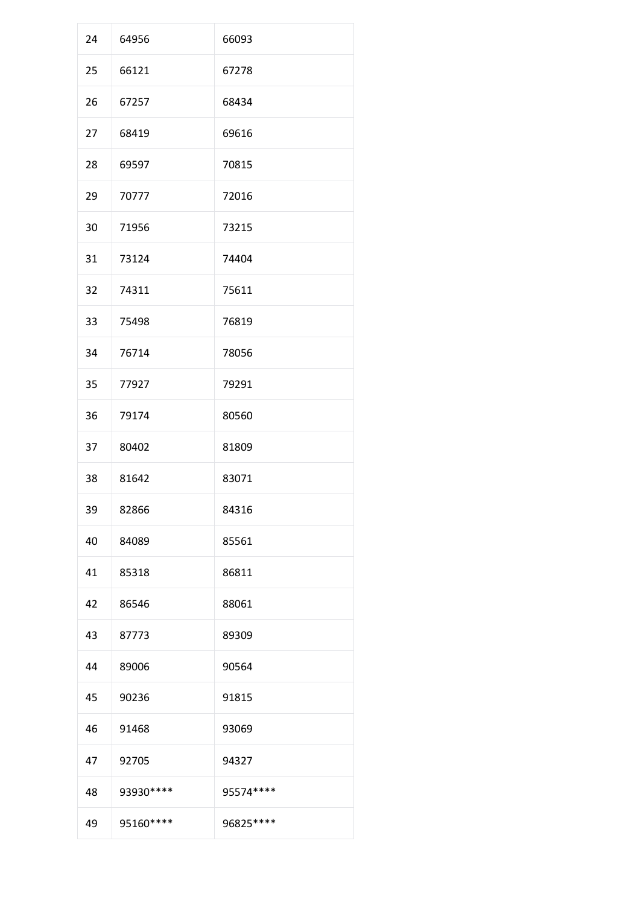| 24 | 64956      | 66093      |
|----|------------|------------|
| 25 | 66121      | 67278      |
| 26 | 67257      | 68434      |
| 27 | 68419      | 69616      |
| 28 | 69597      | 70815      |
| 29 | 70777      | 72016      |
| 30 | 71956      | 73215      |
| 31 | 73124      | 74404      |
| 32 | 74311      | 75611      |
| 33 | 75498      | 76819      |
| 34 | 76714      | 78056      |
| 35 | 77927      | 79291      |
| 36 | 79174      | 80560      |
| 37 | 80402      | 81809      |
| 38 | 81642      | 83071      |
| 39 | 82866      | 84316      |
| 40 | 84089      | 85561      |
| 41 | 85318      | 86811      |
| 42 | 86546      | 88061      |
| 43 | 87773      | 89309      |
| 44 | 89006      | 90564      |
| 45 | 90236      | 91815      |
| 46 | 91468      | 93069      |
| 47 | 92705      | 94327      |
| 48 | 93930 **** | 95574 **** |
| 49 | 95160 **** | 96825 **** |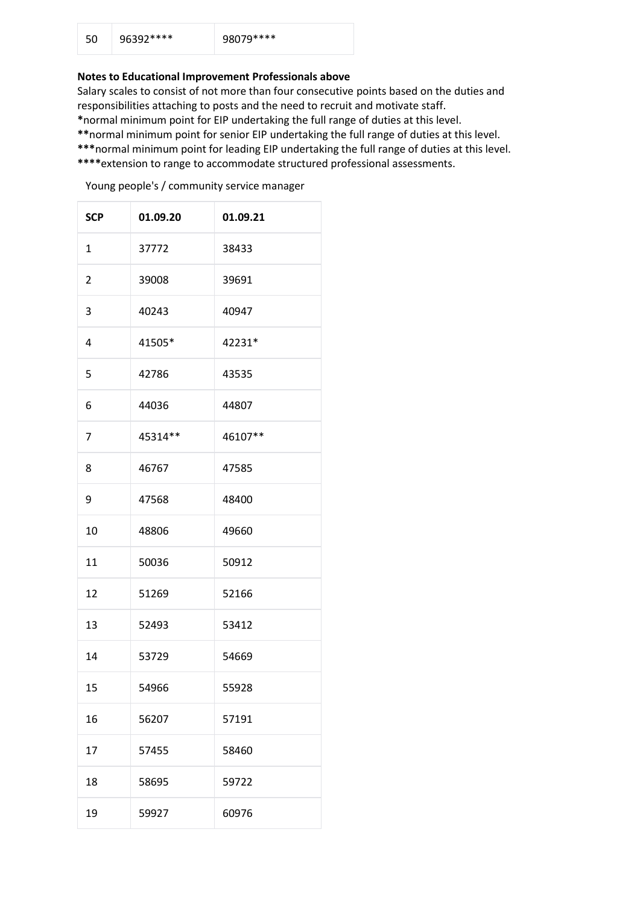| 50 | 96392**** | 98079**** |
|----|-----------|-----------|
|    |           |           |

## **Notes to Educational Improvement Professionals above**

Salary scales to consist of not more than four consecutive points based on the duties and responsibilities attaching to posts and the need to recruit and motivate staff.

**\***normal minimum point for EIP undertaking the full range of duties at this level.

**\*\***normal minimum point for senior EIP undertaking the full range of duties at this level.

- **\*\*\***normal minimum point for leading EIP undertaking the full range of duties at this level.
- **\*\*\*\***extension to range to accommodate structured professional assessments.

Young people's / community service manager

| <b>SCP</b>     | 01.09.20 | 01.09.21 |
|----------------|----------|----------|
| $\mathbf{1}$   | 37772    | 38433    |
| $\overline{2}$ | 39008    | 39691    |
| 3              | 40243    | 40947    |
| 4              | 41505*   | 42231*   |
| 5              | 42786    | 43535    |
| 6              | 44036    | 44807    |
| $\overline{7}$ | 45314**  | 46107**  |
| 8              | 46767    | 47585    |
| 9              | 47568    | 48400    |
| 10             | 48806    | 49660    |
| 11             | 50036    | 50912    |
| 12             | 51269    | 52166    |
| 13             | 52493    | 53412    |
| 14             | 53729    | 54669    |
| 15             | 54966    | 55928    |
| 16             | 56207    | 57191    |
| 17             | 57455    | 58460    |
| 18             | 58695    | 59722    |
| 19             | 59927    | 60976    |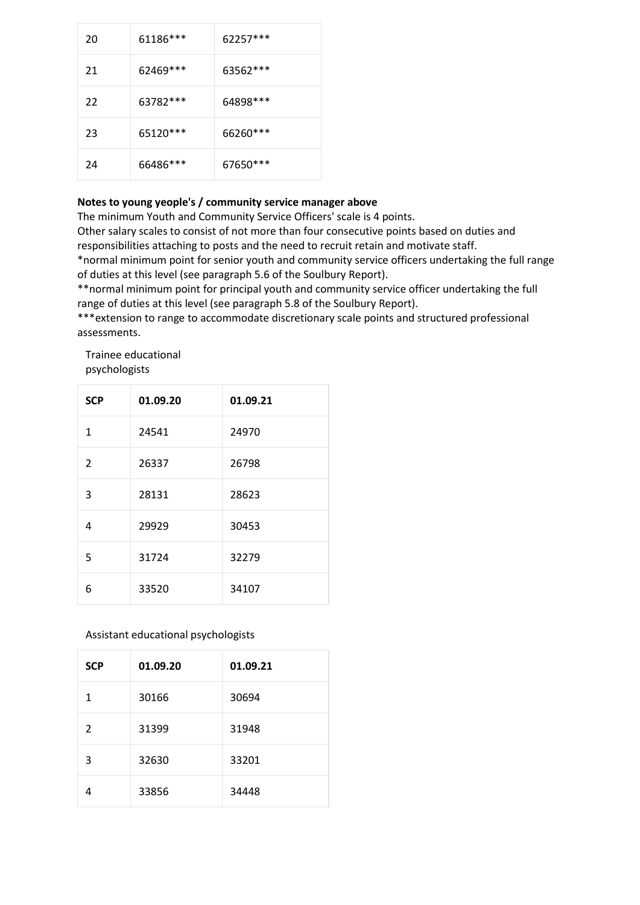| 20 | 61186***  | 62257***  |
|----|-----------|-----------|
| 21 | 62469 *** | 63562 *** |
| 22 | 63782 *** | 64898***  |
| 23 | 65120***  | 66260***  |
| 24 | 66486***  | 67650 *** |

### **Notes to young yeople's / community service manager above**

The minimum Youth and Community Service Officers' scale is 4 points.

Other salary scales to consist of not more than four consecutive points based on duties and responsibilities attaching to posts and the need to recruit retain and motivate staff.

\*normal minimum point for senior youth and community service officers undertaking the full range of duties at this level (see paragraph 5.6 of the Soulbury Report).

\*\*normal minimum point for principal youth and community service officer undertaking the full range of duties at this level (see paragraph 5.8 of the Soulbury Report).

\*\*\*extension to range to accommodate discretionary scale points and structured professional assessments.

Trainee educational psychologists

| <b>SCP</b>    | 01.09.20 | 01.09.21 |
|---------------|----------|----------|
| $\mathbf{1}$  | 24541    | 24970    |
| $\mathcal{P}$ | 26337    | 26798    |
| 3             | 28131    | 28623    |
| 4             | 29929    | 30453    |
| 5             | 31724    | 32279    |
| 6             | 33520    | 34107    |

# Assistant educational psychologists

| <b>SCP</b>    | 01.09.20 | 01.09.21 |
|---------------|----------|----------|
| 1             | 30166    | 30694    |
| $\mathcal{P}$ | 31399    | 31948    |
| 3             | 32630    | 33201    |
|               | 33856    | 34448    |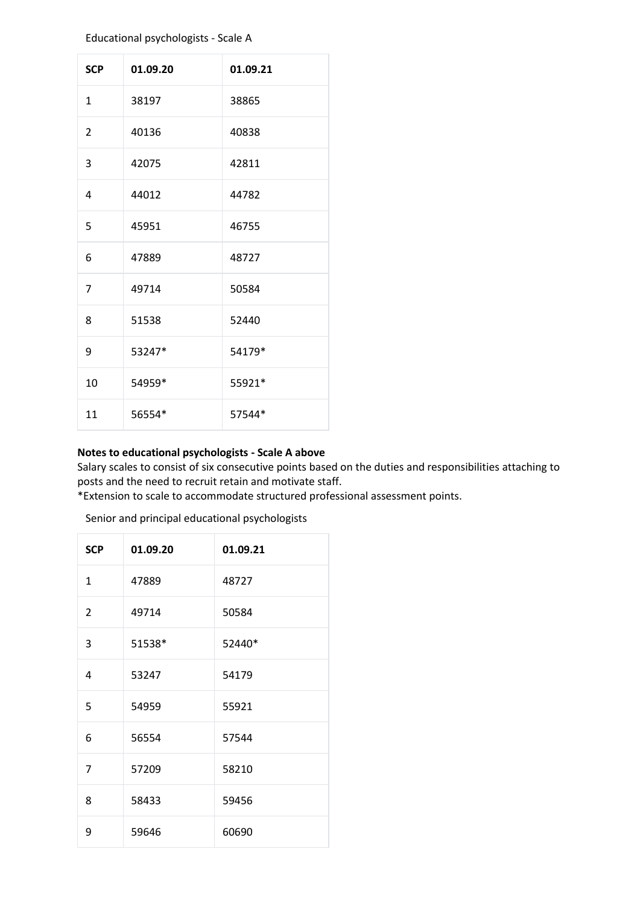#### Educational psychologists - Scale A

| <b>SCP</b>     | 01.09.20 | 01.09.21 |
|----------------|----------|----------|
| $\mathbf{1}$   | 38197    | 38865    |
| $\mathcal{P}$  | 40136    | 40838    |
| 3              | 42075    | 42811    |
| 4              | 44012    | 44782    |
| 5              | 45951    | 46755    |
| 6              | 47889    | 48727    |
| $\overline{7}$ | 49714    | 50584    |
| 8              | 51538    | 52440    |
| 9              | 53247*   | 54179*   |
| 10             | 54959*   | 55921*   |
| 11             | 56554*   | 57544*   |

### **Notes to educational psychologists - Scale A above**

Salary scales to consist of six consecutive points based on the duties and responsibilities attaching to posts and the need to recruit retain and motivate staff.

\*Extension to scale to accommodate structured professional assessment points.

Senior and principal educational psychologists

| <b>SCP</b>     | 01.09.20 | 01.09.21 |
|----------------|----------|----------|
| $\mathbf{1}$   | 47889    | 48727    |
| $\overline{2}$ | 49714    | 50584    |
| 3              | 51538*   | 52440*   |
| 4              | 53247    | 54179    |
| 5              | 54959    | 55921    |
| 6              | 56554    | 57544    |
| 7              | 57209    | 58210    |
| 8              | 58433    | 59456    |
| 9              | 59646    | 60690    |